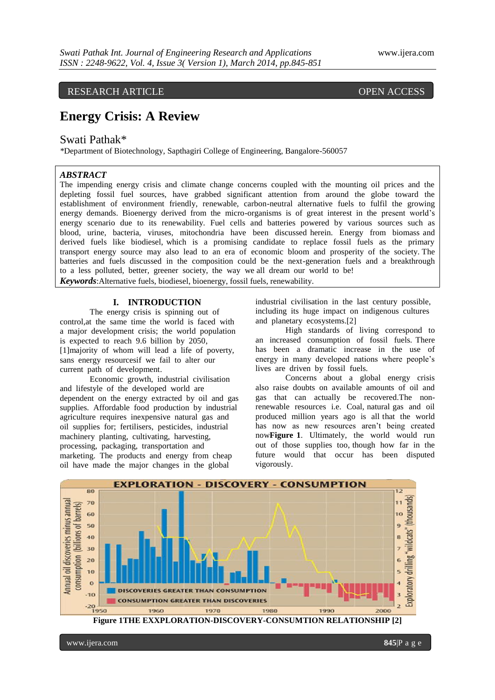# RESEARCH ARTICLE OPEN ACCESS

# **Energy Crisis: A Review**

#### Swati Pathak\*

*\**Department of Biotechnology, Sapthagiri College of Engineering, Bangalore-560057

### *ABSTRACT*

The impending energy crisis and climate change concerns coupled with the mounting oil prices and the depleting fossil fuel sources, have grabbed significant attention from around the globe toward the establishment of environment friendly, renewable, carbon-neutral alternative fuels to fulfil the growing energy demands. Bioenergy derived from the micro-organisms is of great interest in the present world"s energy scenario due to its renewability. Fuel cells and batteries powered by various sources such as blood, urine, bacteria, viruses, mitochondria have been discussed herein. Energy from biomass and derived fuels like biodiesel, which is a promising candidate to replace fossil fuels as the primary transport energy source may also lead to an era of economic bloom and prosperity of the society. The batteries and fuels discussed in the composition could be the next-generation fuels and a breakthrough to a less polluted, better, greener society, the way we all dream our world to be! *Keywords*:Alternative fuels, biodiesel, bioenergy, fossil fuels, renewability.

#### **I. INTRODUCTION**

The energy crisis is spinning out of control,at the same time the world is faced with a major development crisis; the world population is expected to reach 9.6 billion by 2050, [1]majority of whom will lead a life of poverty, sans energy resourcesif we fail to alter our current path of development.

Economic growth, industrial civilisation and lifestyle of the developed world are dependent on the energy extracted by oil and gas supplies. Affordable food production by industrial agriculture requires inexpensive natural gas and oil supplies for; fertilisers, pesticides, industrial machinery planting, cultivating, harvesting, processing, packaging, transportation and marketing. The products and energy from cheap oil have made the major changes in the global

industrial civilisation in the last century possible, including its huge impact on indigenous cultures and planetary ecosystems.[2]

High standards of living correspond to an increased consumption of fossil fuels. There has been a dramatic increase in the use of energy in many developed nations where people"s lives are driven by fossil fuels.

Concerns about a global energy crisis also raise doubts on available amounts of oil and gas that can actually be recovered.The nonrenewable resources i.e. Coal, natural gas and oil produced million years ago is all that the world has now as new resources aren't being created now**[Figure 1](#page-0-0)**. Ultimately, the world would run out of those supplies too, though how far in the future would that occur has been disputed vigorously.



**Figure 1THE EXXPLORATION-DISCOVERY-CONSUMTION RELATIONSHIP [2]**

<span id="page-0-0"></span>www.ijera.com **845**|P a g e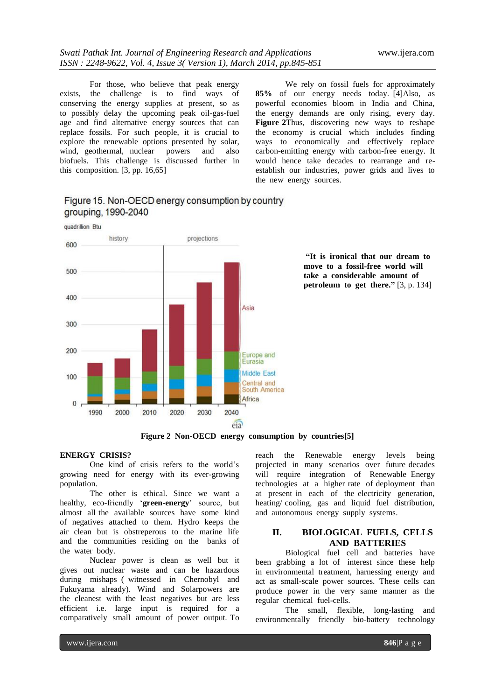For those, who believe that peak energy exists, the challenge is to find ways of conserving the energy supplies at present, so as to possibly delay the upcoming peak oil-gas-fuel age and find alternative energy sources that can replace fossils. For such people, it is crucial to explore the renewable options presented by solar, wind, geothermal, nuclear powers and also biofuels. This challenge is discussed further in this composition.  $[3, pp. 16, 65]$ 

We rely on fossil fuels for approximately **85%** of our energy needs today. [4]Also, as powerful economies bloom in India and China, the energy demands are only rising, every day. **[Figure 2](#page-1-0)**Thus, discovering new ways to reshape the economy is crucial which includes finding ways to economically and effectively replace carbon-emitting energy with carbon-free energy. It would hence take decades to rearrange and reestablish our industries, power grids and lives to the new energy sources.

> **"It is ironical that our dream to move to a fossil-free world will take a considerable amount of petroleum to get there."** [3, p. 134]



# Figure 15, Non-OECD energy consumption by country grouping, 1990-2040

**Figure 2 Non-OECD energy consumption by countries[5]**

#### <span id="page-1-0"></span>**ENERGY CRISIS?**

One kind of crisis refers to the world"s growing need for energy with its ever-growing population.

The other is ethical. Since we want a healthy, eco-friendly 'green-energy' source, but almost all the available sources have some kind of negatives attached to them. Hydro keeps the air clean but is obstreperous to the marine life and the communities residing on the banks of the water body.

Nuclear power is clean as well but it gives out nuclear waste and can be hazardous during mishaps ( witnessed in Chernobyl and Fukuyama already). Wind and Solarpowers are the cleanest with the least negatives but are less efficient i.e. large input is required for a comparatively small amount of power output. To

reach the Renewable energy levels being projected in many scenarios over future decades will require integration of Renewable Energy technologies at a higher rate of deployment than at present in each of the electricity generation, heating/ cooling, gas and liquid fuel distribution, and autonomous energy supply systems.

## **II. BIOLOGICAL FUELS, CELLS AND BATTERIES**

Biological fuel cell and batteries have been grabbing a lot of interest since these help in environmental treatment, harnessing energy and act as small-scale power sources. These cells can produce power in the very same manner as the regular chemical fuel-cells.

The small, flexible, long-lasting and environmentally friendly bio-battery technology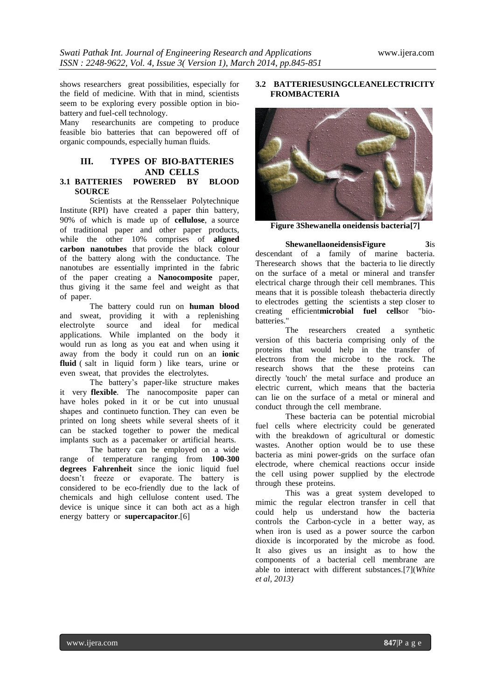shows researchers great possibilities, especially for the field of medicine. With that in mind, scientists seem to be exploring every possible option in biobattery and fuel-cell technology.

Many researchunits are competing to produce feasible bio batteries that can bepowered off of organic compounds, especially human fluids.

#### **III. TYPES OF BIO-BATTERIES AND CELLS 3.1 BATTERIES POWERED BY BLOOD SOURCE**

Scientists at the Rensselaer Polytechnique Institute (RPI) have created a paper thin battery, 90% of which is made up of **cellulose**, a source of traditional paper and other paper products, while the other 10% comprises of **aligned carbon nanotubes** that provide the black colour of the battery along with the conductance. The nanotubes are essentially imprinted in the fabric of the paper creating a **Nanocomposite** paper, thus giving it the same feel and weight as that of paper.

The battery could run on **human blood** and sweat, providing it with a replenishing electrolyte source and ideal for medical applications. While implanted on the body it would run as long as you eat and when using it away from the body it could run on an **ionic fluid** ( salt in liquid form ) like tears, urine or even sweat, that provides the electrolytes.

The battery"s paper-like structure makes it very **flexible**. The nanocomposite paper can have holes poked in it or be cut into unusual shapes and continueto function. They can even be printed on long sheets while several sheets of it can be stacked together to power the medical implants such as a pacemaker or artificial hearts.

The battery can be employed on a wide range of temperature ranging from **100-300 degrees Fahrenheit** since the ionic liquid fuel doesn"t freeze or evaporate. The battery is considered to be eco-friendly due to the lack of chemicals and high cellulose content used. The device is unique since it can both act as a high energy battery or **supercapacitor**.[6]

### **3.2 BATTERIESUSINGCLEANELECTRICITY FROMBACTERIA**



**Figure 3Shewanella oneidensis bacteria[7]**

<span id="page-2-0"></span>**Shewanellaoneidensi[sFigure 3](#page-2-0)**is descendant of a family of marine bacteria. Theresearch shows that the bacteria to lie directly on the surface of a metal or mineral and transfer electrical charge through their cell membranes. This means that it is possible toleash thebacteria directly to electrodes getting the scientists a step closer to creating efficient**microbial fuel cells**or "biobatteries."

The researchers created a synthetic version of this bacteria comprising only of the proteins that would help in the transfer of electrons from the microbe to the rock. The research shows that the these proteins can directly 'touch' the metal surface and produce an electric current, which means that the bacteria can lie on the surface of a metal or mineral and conduct through the cell membrane.

These bacteria can be potential microbial fuel cells where electricity could be generated with the breakdown of agricultural or domestic wastes. Another option would be to use these bacteria as mini power-grids on the surface ofan electrode, where chemical reactions occur inside the cell using power supplied by the electrode through these proteins.

This was a great system developed to mimic the regular electron transfer in cell that could help us understand how the bacteria controls the Carbon-cycle in a better way, as when iron is used as a power source the carbon dioxide is incorporated by the microbe as food. It also gives us an insight as to how the components of a bacterial cell membrane are able to interact with different substances.[7](*White et al, 2013)*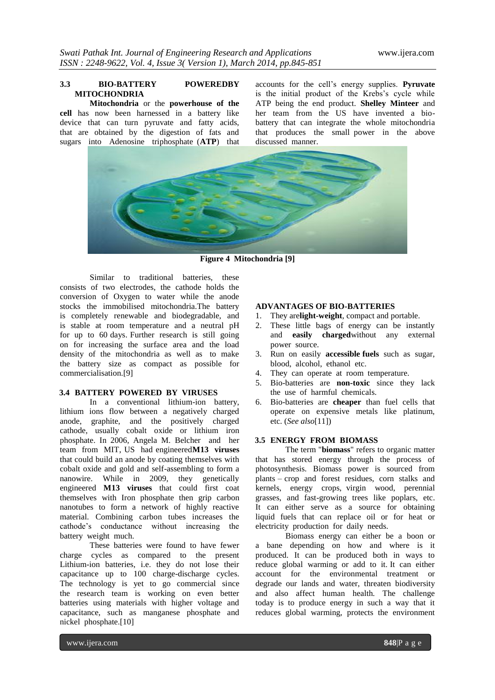# **3.3 BIO-BATTERY POWEREDBY MITOCHONDRIA**

**Mitochondria** or the **powerhouse of the cell** has now been harnessed in a battery like device that can turn pyruvate and fatty acids, that are obtained by the digestion of fats and sugars into Adenosine triphosphate (**ATP**) that

accounts for the cell"s energy supplies. **Pyruvate** is the initial product of the Krebs's cycle while ATP being the end product. **Shelley Minteer** and her team from the US have invented a biobattery that can integrate the whole mitochondria that produces the small power in the above discussed manner.



**Figure 4 Mitochondria [9]**

Similar to traditional batteries, these consists of two electrodes, the cathode holds the conversion of Oxygen to water while the anode stocks the immobilised mitochondria.The battery is completely renewable and biodegradable, and is stable at room temperature and a neutral pH for up to 60 days. Further research is still going on for increasing the surface area and the load density of the mitochondria as well as to make the battery size as compact as possible for commercialisation.[9]

#### **3.4 BATTERY POWERED BY VIRUSES**

In a conventional lithium-ion battery, lithium ions flow between a negatively charged anode, graphite, and the positively charged cathode, usually cobalt oxide or lithium iron phosphate. In 2006, Angela M. Belcher and her team from MIT, US had engineered**M13 viruses** that could build an anode by coating themselves with cobalt oxide and gold and self-assembling to form a nanowire. While in 2009, they genetically engineered **M13 viruses** that could first coat themselves with Iron phosphate then grip carbon nanotubes to form a network of highly reactive material. Combining carbon tubes increases the cathode"s conductance without increasing the battery weight much.

These batteries were found to have fewer charge cycles as compared to the present Lithium-ion batteries, i.e. they do not lose their capacitance up to 100 charge-discharge cycles. The technology is yet to go commercial since the research team is working on even better batteries using materials with higher voltage and capacitance, such as manganese phosphate and nickel phosphate.[10]

#### **ADVANTAGES OF BIO-BATTERIES**

- 1. They are**light-weight**, compact and portable.
- 2. These little bags of energy can be instantly and **easily charged**without any external power source.
- 3. Run on easily **accessible fuels** such as sugar, blood, alcohol, ethanol etc.
- 4. They can operate at room temperature.
- 5. Bio-batteries are **non-toxic** since they lack the use of harmful chemicals.
- 6. Bio-batteries are **cheaper** than fuel cells that operate on expensive metals like platinum, etc. (*See also*[11])

#### **3.5 ENERGY FROM BIOMASS**

The term "**biomass**" refers to organic matter that has stored energy through the process of photosynthesis. Biomass power is sourced from plants – crop and forest residues, corn stalks and kernels, energy crops, virgin wood, perennial grasses, and fast-growing trees like poplars, etc. It can either serve as a source for obtaining liquid fuels that can replace oil or for heat or electricity production for daily needs.

Biomass energy can either be a boon or a bane depending on how and where is it produced. It can be produced both in ways to reduce global warming or add to it. It can either account for the environmental treatment or degrade our lands and water, threaten biodiversity and also affect human health. The challenge today is to produce energy in such a way that it reduces global warming, protects the environment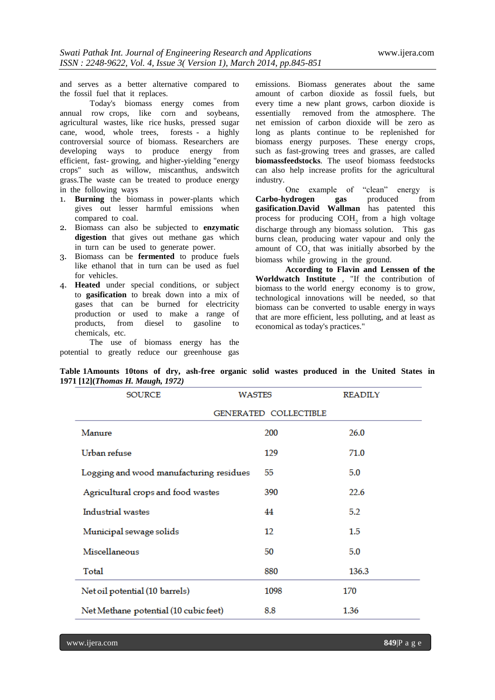and serves as a better alternative compared to the fossil fuel that it replaces.

Today's biomass energy comes from annual row crops, like corn and soybeans, agricultural wastes, like rice husks, pressed sugar cane, wood, whole trees, forests - a highly controversial source of biomass. Researchers are developing ways to produce energy from efficient, fast- growing, and higher-yielding "energy crops" such as willow, miscanthus, andswitch grass.The waste can be treated to produce energy in the following ways

- 1. **Burning** the biomass in power-plants which gives out lesser harmful emissions when compared to coal.
- 2. Biomass can also be subjected to **enzymatic digestion** that gives out methane gas which in turn can be used to generate power.
- 3. Biomass can be **fermented** to produce fuels like ethanol that in turn can be used as fuel for vehicles.
- 4. **Heated** under special conditions, or subject to **gasification** to break down into a mix of gases that can be burned for electricity production or used to make a range of products, from diesel to gasoline to chemicals, etc.

The use of biomass energy has the potential to greatly reduce our greenhouse gas

emissions. Biomass generates about the same amount of carbon dioxide as fossil fuels, but every time a new plant grows, carbon dioxide is essentially removed from the atmosphere. The net emission of carbon dioxide will be zero as long as plants continue to be replenished for biomass energy purposes. These energy crops, such as fast-growing trees and grasses, are called **biomassfeedstocks***.* The useof biomass feedstocks can also help increase profits for the agricultural industry.

One example of "clean" energy is **Carbo-hydrogen gas** produced from **gasification**.**David Wallman** has patented this process for producing COH<sub>2</sub> from a high voltage discharge through any biomass solution. This gas burns clean, producing water vapour and only the amount of  $CO<sub>2</sub>$  that was initially absorbed by the biomass while growing in the ground.

**According to Flavin and Lenssen of the Worldwatch Institute** , "If the contribution of biomass to the world energy economy is to grow, technological innovations will be needed, so that biomass can be converted to usable energy in ways that are more efficient, less polluting, and at least as economical as today's practices."

| <b>SOURCE</b>                           | <b>WASTES</b> | <b>READILY</b> |
|-----------------------------------------|---------------|----------------|
| GENERATED COLLECTIBLE                   |               |                |
| Manure                                  | 200           | 26.0           |
| Urban refuse                            | 129           | 71.0           |
| Logging and wood manufacturing residues | 55            | 5.0            |
| Agricultural crops and food wastes      | 390           | 22.6           |
| Industrial wastes                       | 44            | 5.2            |
| Municipal sewage solids                 | 12            | $1.5\,$        |
| Miscellaneous                           | 50            | 5.0            |
| Total                                   | 880           | 136.3          |
| Net oil potential (10 barrels)          | 1098          | 170            |
| Net Methane potential (10 cubic feet)   | 8.8           | 1.36           |

**Table 1Amounts 10tons of dry, ash-free organic solid wastes produced in the United States in 1971 [12](***Thomas H. Maugh, 1972)*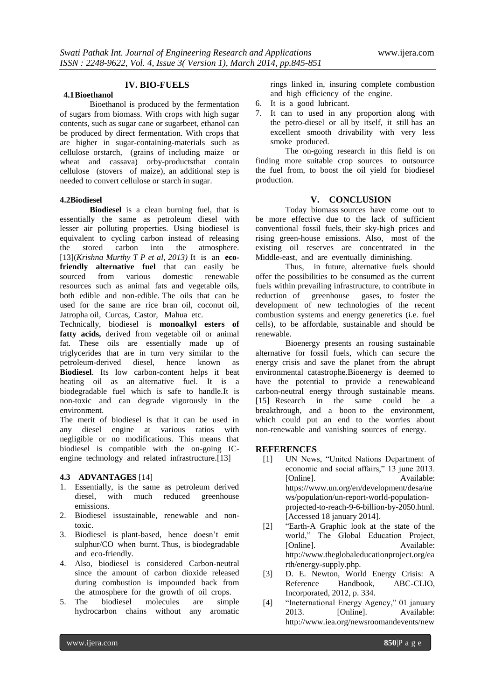#### **IV. BIO-FUELS 4.1Bioethanol**

Bioethanol is produced by the fermentation of sugars from biomass. With crops with high sugar contents, such as sugar cane or sugarbeet, ethanol can be produced by direct fermentation. With crops that are higher in sugar-containing-materials such as cellulose orstarch, (grains of including maize or wheat and cassava) orby-productsthat contain cellulose (stovers of maize), an additional step is needed to convert cellulose or starch in sugar.

#### **4.2Biodiesel**

**Biodiesel** is a clean burning fuel, that is essentially the same as petroleum diesel with lesser air polluting properties. Using biodiesel is equivalent to cycling carbon instead of releasing the stored carbon into the atmosphere. [13](*Krishna Murthy T P et al, 2013)* It is an **ecofriendly alternative fuel** that can easily be sourced from various domestic renewable resources such as animal fats and vegetable oils, both edible and non-edible. The oils that can be used for the same are rice bran oil, coconut oil, Jatropha oil, Curcas, Castor, Mahua etc.

Technically, biodiesel is **monoalkyl esters of fatty acids,** derived from vegetable oil or animal fat. These oils are essentially made up of triglycerides that are in turn very similar to the petroleum-derived diesel, hence known as **Biodiesel**. Its low carbon-content helps it beat heating oil as an alternative fuel. It is a biodegradable fuel which is safe to handle.It is non-toxic and can degrade vigorously in the environment.

The merit of biodiesel is that it can be used in any diesel engine at various ratios with negligible or no modifications. This means that biodiesel is compatible with the on-going ICengine technology and related infrastructure.[13]

#### **4.3 ADVANTAGES** [14]

- 1. Essentially, is the same as petroleum derived diesel, with much reduced greenhouse emissions.
- 2. Biodiesel issustainable, renewable and nontoxic.
- 3. Biodiesel is plant-based, hence doesn"t emit sulphur/CO when burnt. Thus, is biodegradable and eco-friendly.
- 4. Also, biodiesel is considered Carbon-neutral since the amount of carbon dioxide released during combustion is impounded back from the atmosphere for the growth of oil crops.
- 5. The biodiesel molecules are simple hydrocarbon chains without any aromatic

rings linked in, insuring complete combustion and high efficiency of the engine.

- 6. It is a good lubricant.
- 7. It can to used in any proportion along with the petro-diesel or all by itself, it still has an excellent smooth drivability with very less smoke produced.

The on-going research in this field is on finding more suitable crop sources to outsource the fuel from, to boost the oil yield for biodiesel production.

### **V. CONCLUSION**

Today biomass sources have come out to be more effective due to the lack of sufficient conventional fossil fuels, their sky-high prices and rising green-house emissions. Also, most of the existing oil reserves are concentrated in the Middle-east, and are eventually diminishing.

Thus, in future, alternative fuels should offer the possibilities to be consumed as the current fuels within prevailing infrastructure, to contribute in reduction of greenhouse gases, to foster the development of new technologies of the recent combustion systems and energy generetics (i.e. fuel cells), to be affordable, sustainable and should be renewable.

Bioenergy presents an rousing sustainable alternative for fossil fuels, which can secure the energy crisis and save the planet from the abrupt environmental catastrophe.Bioenergy is deemed to have the potential to provide a renewableand carbon-neutral energy through sustainable means. [15] Research in the same could be a breakthrough, and a boon to the environment, which could put an end to the worries about non-renewable and vanishing sources of energy.

#### **REFERENCES**

- [1] UN News, "United Nations Department of economic and social affairs," 13 june 2013. [Online]. Available: https://www.un.org/en/development/desa/ne ws/population/un-report-world-populationprojected-to-reach-9-6-billion-by-2050.html. [Accessed 18 january 2014].
- [2] "Earth-A Graphic look at the state of the world," The Global Education Project, [Online]. Available: http://www.theglobaleducationproject.org/ea rth/energy-supply.php.
- [3] D. E. Newton, World Energy Crisis: A Reference Handbook, ABC-CLIO, Incorporated, 2012, p. 334.
- [4] "Ineternational Energy Agency," 01 january 2013. [Online]. Available: http://www.iea.org/newsroomandevents/new